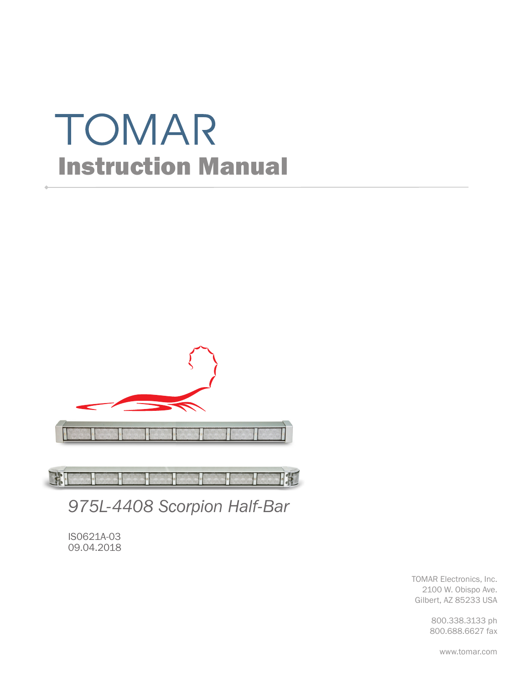# TOMAR Instruction Manual



FE **DAC** 

*975L-4408 Scorpion Half-Bar*

IS0621A-03 09.04.2018

> TOMAR Electronics, Inc. 2100 W. Obispo Ave. Gilbert, AZ 85233 USA

> > 800.338.3133 ph 800.688.6627 fax

> > > www.tomar.com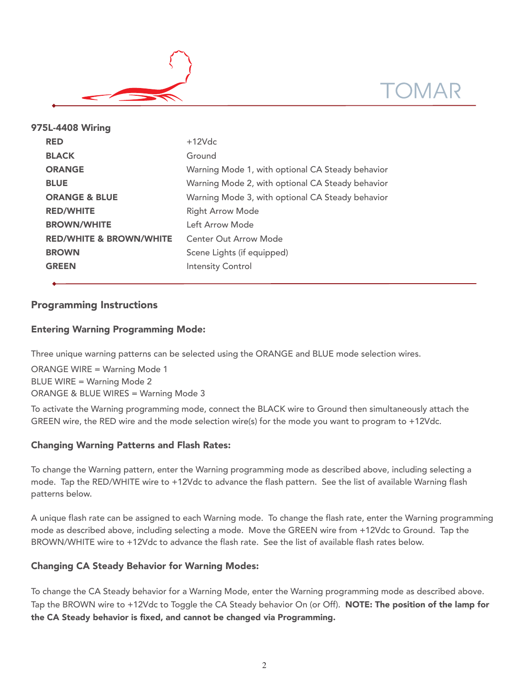



| 975L-4408 Wiring                   |  |                                                  |  |  |
|------------------------------------|--|--------------------------------------------------|--|--|
| <b>RED</b>                         |  | $+12Vdc$                                         |  |  |
| <b>BLACK</b>                       |  | Ground                                           |  |  |
| <b>ORANGE</b>                      |  | Warning Mode 1, with optional CA Steady behavior |  |  |
| <b>BLUE</b>                        |  | Warning Mode 2, with optional CA Steady behavior |  |  |
| <b>ORANGE &amp; BLUE</b>           |  | Warning Mode 3, with optional CA Steady behavior |  |  |
| <b>RED/WHITE</b>                   |  | <b>Right Arrow Mode</b>                          |  |  |
| <b>BROWN/WHITE</b>                 |  | Left Arrow Mode                                  |  |  |
| <b>RED/WHITE &amp; BROWN/WHITE</b> |  | Center Out Arrow Mode                            |  |  |
| <b>BROWN</b>                       |  | Scene Lights (if equipped)                       |  |  |
| <b>GREEN</b>                       |  | <b>Intensity Control</b>                         |  |  |
|                                    |  |                                                  |  |  |

# Programming Instructions

## Entering Warning Programming Mode:

Three unique warning patterns can be selected using the ORANGE and BLUE mode selection wires.

ORANGE WIRE = Warning Mode 1 BLUE WIRE = Warning Mode 2 ORANGE & BLUE WIRES = Warning Mode 3

To activate the Warning programming mode, connect the BLACK wire to Ground then simultaneously attach the GREEN wire, the RED wire and the mode selection wire(s) for the mode you want to program to +12Vdc.

## Changing Warning Patterns and Flash Rates:

To change the Warning pattern, enter the Warning programming mode as described above, including selecting a mode. Tap the RED/WHITE wire to +12Vdc to advance the flash pattern. See the list of available Warning flash patterns below.

A unique flash rate can be assigned to each Warning mode. To change the flash rate, enter the Warning programming mode as described above, including selecting a mode. Move the GREEN wire from +12Vdc to Ground. Tap the BROWN/WHITE wire to +12Vdc to advance the flash rate. See the list of available flash rates below.

## Changing CA Steady Behavior for Warning Modes:

To change the CA Steady behavior for a Warning Mode, enter the Warning programming mode as described above. Tap the BROWN wire to +12Vdc to Toggle the CA Steady behavior On (or Off). **NOTE: The position of the lamp for** the CA Steady behavior is fixed, and cannot be changed via Programming.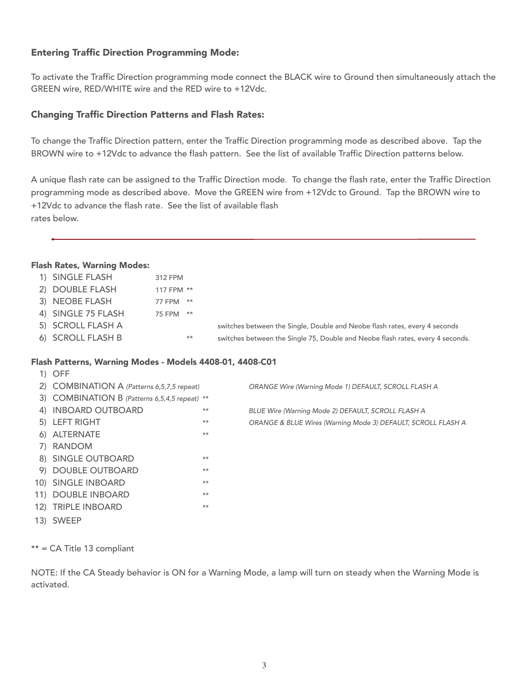# Entering Traffic Direction Programming Mode:

To activate the Traffic Direction programming mode connect the BLACK wire to Ground then simultaneously attach the GREEN wire, RED/WHITE wire and the RED wire to +12Vdc.

## Changing Traffic Direction Patterns and Flash Rates:

To change the Traffic Direction pattern, enter the Traffic Direction programming mode as described above. Tap the BROWN wire to +12Vdc to advance the flash pattern. See the list of available Traffic Direction patterns below.

A unique flash rate can be assigned to the Traffic Direction mode. To change the flash rate, enter the Traffic Direction programming mode as described above. Move the GREEN wire from +12Vdc to Ground. Tap the BROWN wire to +12Vdc to advance the flash rate. See the list of available flash rates below.

#### Flash Rates, Warning Modes:

| 1) SINGLE FLASH    | 312 FPM         |                                                                                |
|--------------------|-----------------|--------------------------------------------------------------------------------|
| 2) DOUBLE FLASH    | 117 FPM **      |                                                                                |
| 3) NEOBE FLASH     | $***$<br>77 FPM |                                                                                |
| 4) SINGLE 75 FLASH | $***$<br>75 FPM |                                                                                |
| 5) SCROLL FLASH A  |                 | switches between the Single, Double and Neobe flash rates, every 4 seconds     |
| 6) SCROLL FLASH B  | $***$           | switches between the Single 75, Double and Neobe flash rates, every 4 seconds. |
|                    |                 |                                                                                |

#### Flash Patterns, Warning Modes - Models 4408-01, 4408-C01

| $1)$ OFF                                                           |       |                                                              |
|--------------------------------------------------------------------|-------|--------------------------------------------------------------|
| 2) COMBINATION A (Patterns 6,5,7,5 repeat)                         |       | ORANGE Wire (Warning Mode 1) DEFAULT, SCROLL FLASH A         |
| 3) COMBINATION B (Patterns 6,5,4,5 repeat) **                      |       |                                                              |
| 4) INBOARD OUTBOARD                                                | $***$ | BLUE Wire (Warning Mode 2) DEFAULT, SCROLL FLASH A           |
| 5) LEFT RIGHT                                                      | $***$ | ORANGE & BLUE Wires (Warning Mode 3) DEFAULT, SCROLL FLASH A |
| 6) ALTERNATE                                                       | $**$  |                                                              |
| 7) RANDOM                                                          |       |                                                              |
| 8) SINGLE OUTBOARD                                                 | $**$  |                                                              |
| 9) DOUBLE OUTBOARD                                                 | $***$ |                                                              |
| 10) SINGLE INBOARD                                                 | $***$ |                                                              |
| 11) DOUBLE INBOARD                                                 | $***$ |                                                              |
| 12) TRIPLE INBOARD                                                 | $***$ |                                                              |
| $\Lambda$ $\Lambda$ $\Lambda$ $\Lambda$ $\Gamma$ $\Gamma$ $\Gamma$ |       |                                                              |

13) SWEEP

\*\* = CA Title 13 compliant

NOTE: If the CA Steady behavior is ON for a Warning Mode, a lamp will turn on steady when the Warning Mode is activated.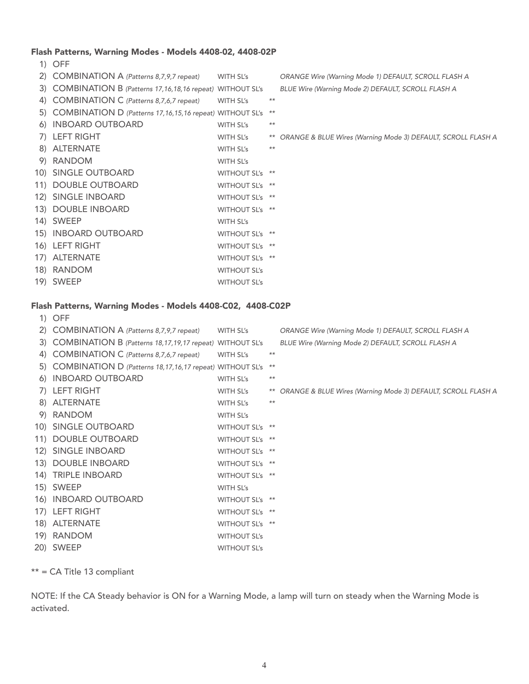#### Flash Patterns, Warning Modes - Models 4408-02, 4408-02P

1) OFF 2) COMBINATION A (Patterns 8,7,9,7 repeat) WITH SL's ORANGE Wire (Warning Mode 1) DEFAULT, SCROLL FLASH A 3) COMBINATION B (Patterns 17,16,18,16 repeat) WITHOUT SL's BLUE Wire (Warning Mode 2) DEFAULT, SCROLL FLASH A 4) COMBINATION C (Patterns 8,7,6,7 repeat) WITH SL's \*\* 5) COMBINATION D (Patterns 17,16,15,16 repeat) WITHOUT SL's \*\* 6) INBOARD OUTBOARD WITH SL's \*\* 7) LEFT RIGHT WITH SL's \*\* ORANGE & BLUE Wires (Warning Mode 3) DEFAULT, SCROLL FLASH A 8) ALTERNATE WITH SL's \*\* 9) RANDOM WITH SL's 10) SINGLE OUTBOARD WITHOUT SL's \*\* 11) DOUBLE OUTBOARD WITHOUT SL's \*\* 12) SINGLE INBOARD WITHOUT SL's \*\* 13) DOUBLE INBOARD WITHOUT SL's \*\* 14) SWEEP WITH SL's 15) INBOARD OUTBOARD WITHOUT SL's \*\* 16) LEFT RIGHT WITHOUT SL's \*\* 17) ALTERNATE WITHOUT SL's \*\* 18) RANDOM WITHOUT SL's 19) SWEEP WITHOUT SL's

#### Flash Patterns, Warning Modes - Models 4408-C02, 4408-C02P

|     | 1) OFF                                                         |                     |       |                                                                 |
|-----|----------------------------------------------------------------|---------------------|-------|-----------------------------------------------------------------|
| (2) | COMBINATION A (Patterns 8,7,9,7 repeat)                        | WITH SL's           |       | ORANGE Wire (Warning Mode 1) DEFAULT, SCROLL FLASH A            |
|     | 3) COMBINATION B (Patterns 18, 17, 19, 17 repeat) WITHOUT SL's |                     |       | BLUE Wire (Warning Mode 2) DEFAULT, SCROLL FLASH A              |
| 4)  | COMBINATION C (Patterns 8,7,6,7 repeat)                        | WITH SL's           | $***$ |                                                                 |
|     | 5) COMBINATION D (Patterns 18, 17, 16, 17 repeat) WITHOUT SL's |                     | $***$ |                                                                 |
|     | 6) INBOARD OUTBOARD                                            | WITH SL's           | $***$ |                                                                 |
|     | 7) LEFT RIGHT                                                  | WITH SL's           |       | ** ORANGE & BLUE Wires (Warning Mode 3) DEFAULT, SCROLL FLASH A |
|     | 8) ALTERNATE                                                   | WITH SL's           | $***$ |                                                                 |
|     | 9) RANDOM                                                      | WITH SL's           |       |                                                                 |
|     | 10) SINGLE OUTBOARD                                            | WITHOUT SL's **     |       |                                                                 |
|     | 11) DOUBLE OUTBOARD                                            | WITHOUT SL's **     |       |                                                                 |
|     | 12) SINGLE INBOARD                                             | WITHOUT SL's **     |       |                                                                 |
|     | 13) DOUBLE INBOARD                                             | WITHOUT SL's **     |       |                                                                 |
|     | 14) TRIPLE INBOARD                                             | WITHOUT SL's **     |       |                                                                 |
|     | 15) SWEEP                                                      | WITH SL's           |       |                                                                 |
|     | 16) INBOARD OUTBOARD                                           | WITHOUT SL's **     |       |                                                                 |
|     | 17) LEFT RIGHT                                                 | WITHOUT SL's **     |       |                                                                 |
|     | 18) ALTERNATE                                                  | WITHOUT SL's **     |       |                                                                 |
|     | 19) RANDOM                                                     | <b>WITHOUT SL's</b> |       |                                                                 |
|     | 20) SWEEP                                                      | <b>WITHOUT SL's</b> |       |                                                                 |
|     |                                                                |                     |       |                                                                 |

#### \*\* = CA Title 13 compliant

NOTE: If the CA Steady behavior is ON for a Warning Mode, a lamp will turn on steady when the Warning Mode is activated.